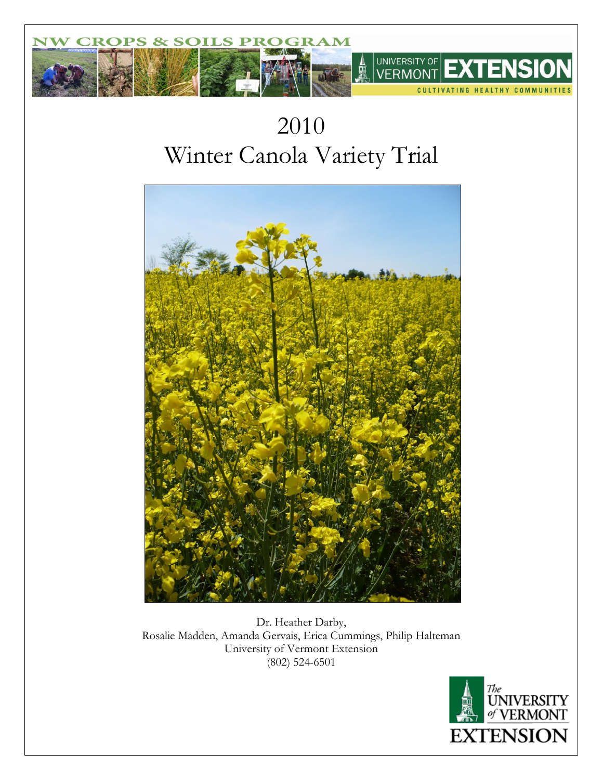

# 2010 Winter Canola Variety Trial



Dr. Heather Darby, Rosalie Madden, Amanda Gervais, Erica Cummings, Philip Halteman University of Vermont Extension (802) 524-6501

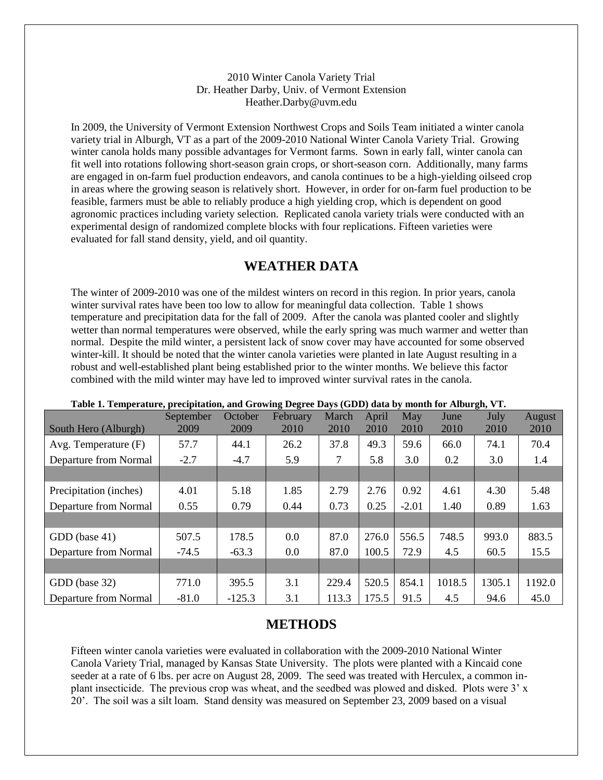#### 2010 Winter Canola Variety Trial Dr. Heather Darby, Univ. of Vermont Extension Heather.Darby@uvm.edu

In 2009, the University of Vermont Extension Northwest Crops and Soils Team initiated a winter canola variety trial in Alburgh, VT as a part of the 2009-2010 National Winter Canola Variety Trial. Growing winter canola holds many possible advantages for Vermont farms. Sown in early fall, winter canola can fit well into rotations following short-season grain crops, or short-season corn. Additionally, many farms are engaged in on-farm fuel production endeavors, and canola continues to be a high-yielding oilseed crop in areas where the growing season is relatively short. However, in order for on-farm fuel production to be feasible, farmers must be able to reliably produce a high yielding crop, which is dependent on good agronomic practices including variety selection. Replicated canola variety trials were conducted with an experimental design of randomized complete blocks with four replications. Fifteen varieties were evaluated for fall stand density, yield, and oil quantity.

## **WEATHER DATA**

The winter of 2009-2010 was one of the mildest winters on record in this region. In prior years, canola winter survival rates have been too low to allow for meaningful data collection. Table 1 shows temperature and precipitation data for the fall of 2009. After the canola was planted cooler and slightly wetter than normal temperatures were observed, while the early spring was much warmer and wetter than normal. Despite the mild winter, a persistent lack of snow cover may have accounted for some observed winter-kill. It should be noted that the winter canola varieties were planted in late August resulting in a robust and well-established plant being established prior to the winter months. We believe this factor combined with the mild winter may have led to improved winter survival rates in the canola.

| Tubic is remperature, precipitation, and Orowing Degree Days (ODD) data by month for modeling v re | September | October  | February | March | April | May     | June   | July   | August |
|----------------------------------------------------------------------------------------------------|-----------|----------|----------|-------|-------|---------|--------|--------|--------|
| South Hero (Alburgh)                                                                               | 2009      | 2009     | 2010     | 2010  | 2010  | 2010    | 2010   | 2010   | 2010   |
| Avg. Temperature $(F)$                                                                             | 57.7      | 44.1     | 26.2     | 37.8  | 49.3  | 59.6    | 66.0   | 74.1   | 70.4   |
| Departure from Normal                                                                              | $-2.7$    | $-4.7$   | 5.9      | 7     | 5.8   | 3.0     | 0.2    | 3.0    | 1.4    |
|                                                                                                    |           |          |          |       |       |         |        |        |        |
| Precipitation (inches)                                                                             | 4.01      | 5.18     | 1.85     | 2.79  | 2.76  | 0.92    | 4.61   | 4.30   | 5.48   |
| Departure from Normal                                                                              | 0.55      | 0.79     | 0.44     | 0.73  | 0.25  | $-2.01$ | 1.40   | 0.89   | 1.63   |
|                                                                                                    |           |          |          |       |       |         |        |        |        |
| GDD (base 41)                                                                                      | 507.5     | 178.5    | 0.0      | 87.0  | 276.0 | 556.5   | 748.5  | 993.0  | 883.5  |
| Departure from Normal                                                                              | $-74.5$   | $-63.3$  | 0.0      | 87.0  | 100.5 | 72.9    | 4.5    | 60.5   | 15.5   |
|                                                                                                    |           |          |          |       |       |         |        |        |        |
| GDD (base 32)                                                                                      | 771.0     | 395.5    | 3.1      | 229.4 | 520.5 | 854.1   | 1018.5 | 1305.1 | 1192.0 |
| Departure from Normal                                                                              | $-81.0$   | $-125.3$ | 3.1      | 113.3 | 175.5 | 91.5    | 4.5    | 94.6   | 45.0   |

#### **Table 1. Temperature, precipitation, and Growing Degree Days (GDD) data by month for Alburgh, VT.**

## **METHODS**

Fifteen winter canola varieties were evaluated in collaboration with the 2009-2010 National Winter Canola Variety Trial, managed by Kansas State University. The plots were planted with a Kincaid cone seeder at a rate of 6 lbs. per acre on August 28, 2009. The seed was treated with Herculex, a common inplant insecticide. The previous crop was wheat, and the seedbed was plowed and disked. Plots were 3' x 20'. The soil was a silt loam. Stand density was measured on September 23, 2009 based on a visual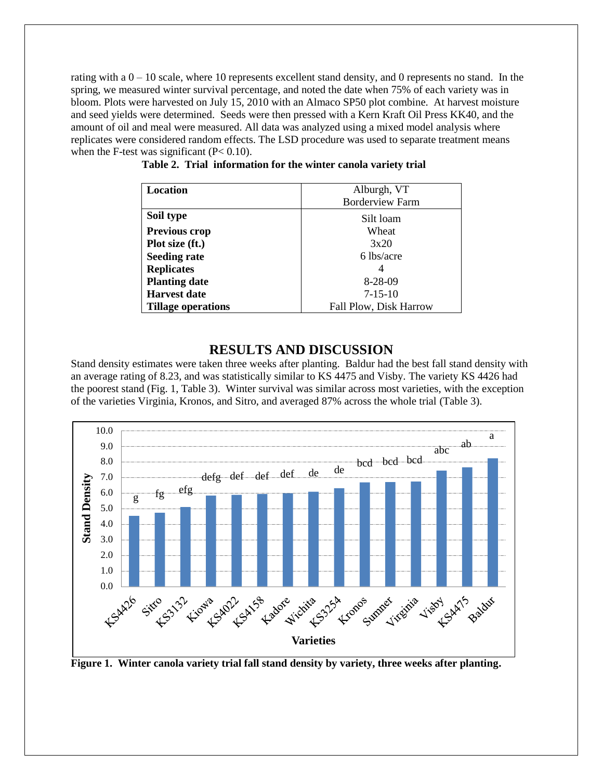rating with a  $0 - 10$  scale, where 10 represents excellent stand density, and 0 represents no stand. In the spring, we measured winter survival percentage, and noted the date when 75% of each variety was in bloom. Plots were harvested on July 15, 2010 with an Almaco SP50 plot combine. At harvest moisture and seed yields were determined. Seeds were then pressed with a Kern Kraft Oil Press KK40, and the amount of oil and meal were measured. All data was analyzed using a mixed model analysis where replicates were considered random effects. The LSD procedure was used to separate treatment means when the F-test was significant  $(P< 0.10)$ .

| Location                  | Alburgh, VT            |  |  |  |
|---------------------------|------------------------|--|--|--|
|                           | <b>Borderview Farm</b> |  |  |  |
| Soil type                 | Silt loam              |  |  |  |
| Previous crop             | Wheat                  |  |  |  |
| Plot size (ft.)           | 3x20                   |  |  |  |
| <b>Seeding rate</b>       | 6 lbs/acre             |  |  |  |
| <b>Replicates</b>         |                        |  |  |  |
| <b>Planting date</b>      | $8-28-09$              |  |  |  |
| <b>Harvest date</b>       | $7 - 15 - 10$          |  |  |  |
| <b>Tillage operations</b> | Fall Plow, Disk Harrow |  |  |  |

**Table 2. Trial information for the winter canola variety trial**

### **RESULTS AND DISCUSSION**

Stand density estimates were taken three weeks after planting. Baldur had the best fall stand density with an average rating of 8.23, and was statistically similar to KS 4475 and Visby. The variety KS 4426 had the poorest stand (Fig. 1, Table 3). Winter survival was similar across most varieties, with the exception of the varieties Virginia, Kronos, and Sitro, and averaged 87% across the whole trial (Table 3).



**Figure 1. Winter canola variety trial fall stand density by variety, three weeks after planting.**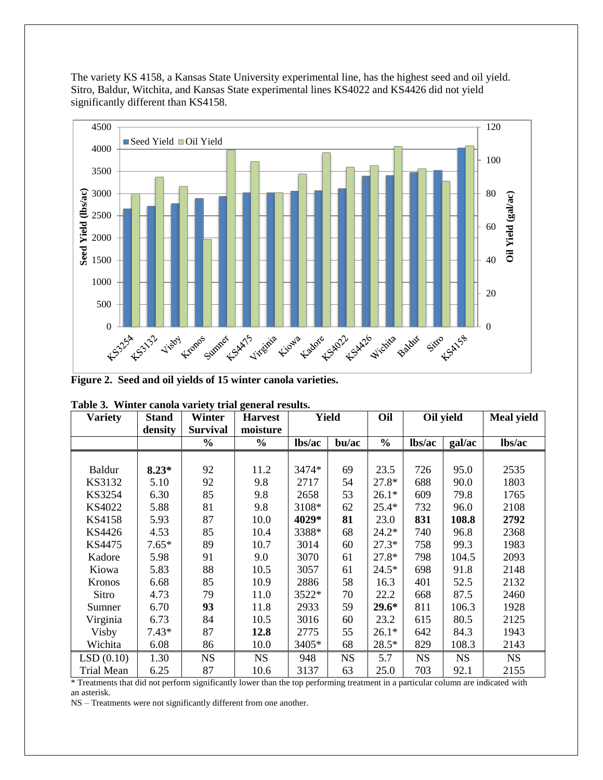The variety KS 4158, a Kansas State University experimental line, has the highest seed and oil yield. Sitro, Baldur, Witchita, and Kansas State experimental lines KS4022 and KS4426 did not yield significantly different than KS4158.



**Figure 2. Seed and oil yields of 15 winter canola varieties.**

| <b>Variety</b>    | <b>Stand</b> | Winter          | <b>Harvest</b> | <b>Yield</b> |           | Oil           | Oil yield |           | <b>Meal yield</b> |
|-------------------|--------------|-----------------|----------------|--------------|-----------|---------------|-----------|-----------|-------------------|
|                   | density      | <b>Survival</b> | moisture       |              |           |               |           |           |                   |
|                   |              | $\frac{0}{0}$   | $\frac{0}{0}$  | lbs/ac       | bu/ac     | $\frac{0}{0}$ | lbs/ac    | gal/ac    | lbs/ac            |
|                   |              |                 |                |              |           |               |           |           |                   |
| Baldur            | $8.23*$      | 92              | 11.2           | 3474*        | 69        | 23.5          | 726       | 95.0      | 2535              |
| KS3132            | 5.10         | 92              | 9.8            | 2717         | 54        | $27.8*$       | 688       | 90.0      | 1803              |
| KS3254            | 6.30         | 85              | 9.8            | 2658         | 53        | $26.1*$       | 609       | 79.8      | 1765              |
| KS4022            | 5.88         | 81              | 9.8            | 3108*        | 62        | $25.4*$       | 732       | 96.0      | 2108              |
| <b>KS4158</b>     | 5.93         | 87              | 10.0           | 4029*        | 81        | 23.0          | 831       | 108.8     | 2792              |
| KS4426            | 4.53         | 85              | 10.4           | 3388*        | 68        | $24.2*$       | 740       | 96.8      | 2368              |
| KS4475            | $7.65*$      | 89              | 10.7           | 3014         | 60        | $27.3*$       | 758       | 99.3      | 1983              |
| Kadore            | 5.98         | 91              | 9.0            | 3070         | 61        | 27.8*         | 798       | 104.5     | 2093              |
| Kiowa             | 5.83         | 88              | 10.5           | 3057         | 61        | $24.5*$       | 698       | 91.8      | 2148              |
| <b>Kronos</b>     | 6.68         | 85              | 10.9           | 2886         | 58        | 16.3          | 401       | 52.5      | 2132              |
| Sitro             | 4.73         | 79              | 11.0           | 3522*        | 70        | 22.2          | 668       | 87.5      | 2460              |
| Sumner            | 6.70         | 93              | 11.8           | 2933         | 59        | $29.6*$       | 811       | 106.3     | 1928              |
| Virginia          | 6.73         | 84              | 10.5           | 3016         | 60        | 23.2          | 615       | 80.5      | 2125              |
| Visby             | $7.43*$      | 87              | 12.8           | 2775         | 55        | $26.1*$       | 642       | 84.3      | 1943              |
| Wichita           | 6.08         | 86              | 10.0           | 3405*        | 68        | $28.5*$       | 829       | 108.3     | 2143              |
| LSD(0.10)         | 1.30         | <b>NS</b>       | <b>NS</b>      | 948          | <b>NS</b> | 5.7           | <b>NS</b> | <b>NS</b> | <b>NS</b>         |
| <b>Trial Mean</b> | 6.25         | 87              | 10.6           | 3137         | 63        | 25.0          | 703       | 92.1      | 2155              |

|  |  |  | Table 3. Winter canola variety trial general results. |
|--|--|--|-------------------------------------------------------|
|--|--|--|-------------------------------------------------------|

\* Treatments that did not perform significantly lower than the top performing treatment in a particular column are indicated with an asterisk.

NS – Treatments were not significantly different from one another.